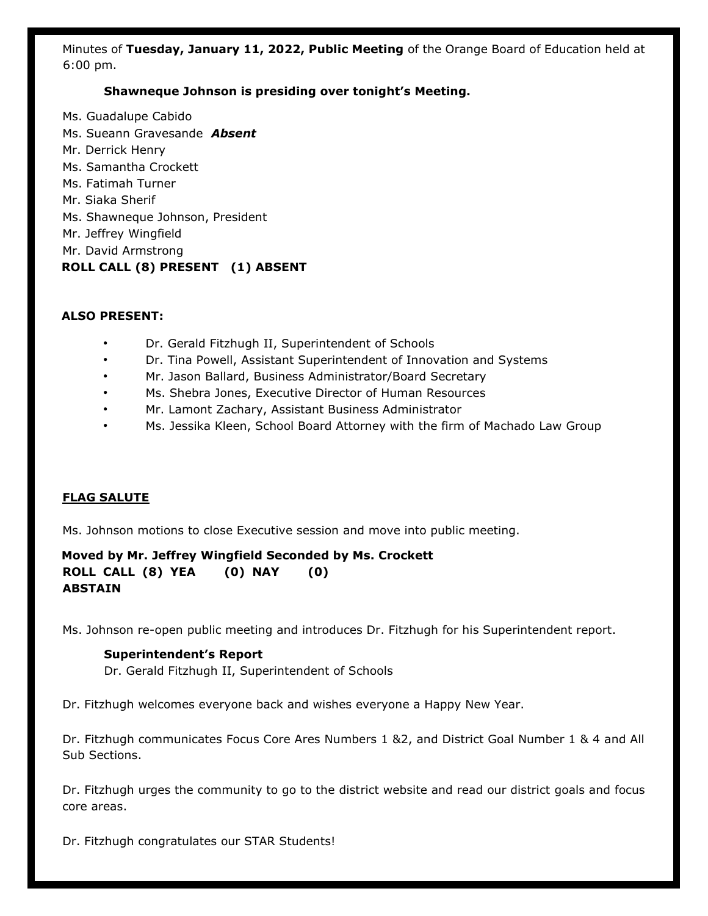Minutes of **Tuesday, January 11, 2022, Public Meeting** of the Orange Board of Education held at 6:00 pm.

#### **Shawneque Johnson is presiding over tonight's Meeting.**

Ms. Guadalupe Cabido Ms. Sueann Gravesande *Absent* Mr. Derrick Henry Ms. Samantha Crockett Ms. Fatimah Turner Mr. Siaka Sherif Ms. Shawneque Johnson, President Mr. Jeffrey Wingfield Mr. David Armstrong **ROLL CALL (8) PRESENT (1) ABSENT** 

#### **ALSO PRESENT:**

- Dr. Gerald Fitzhugh II, Superintendent of Schools
- Dr. Tina Powell, Assistant Superintendent of Innovation and Systems
- Mr. Jason Ballard, Business Administrator/Board Secretary
- Ms. Shebra Jones, Executive Director of Human Resources
- Mr. Lamont Zachary, Assistant Business Administrator
- Ms. Jessika Kleen, School Board Attorney with the firm of Machado Law Group

#### **FLAG SALUTE**

Ms. Johnson motions to close Executive session and move into public meeting.

**Moved by Mr. Jeffrey Wingfield Seconded by Ms. Crockett ROLL CALL (8) YEA (0) NAY (0) ABSTAIN** 

Ms. Johnson re-open public meeting and introduces Dr. Fitzhugh for his Superintendent report.

#### **Superintendent's Report**

Dr. Gerald Fitzhugh II, Superintendent of Schools

Dr. Fitzhugh welcomes everyone back and wishes everyone a Happy New Year.

Dr. Fitzhugh communicates Focus Core Ares Numbers 1 &2, and District Goal Number 1 & 4 and All Sub Sections.

Dr. Fitzhugh urges the community to go to the district website and read our district goals and focus core areas.

Dr. Fitzhugh congratulates our STAR Students!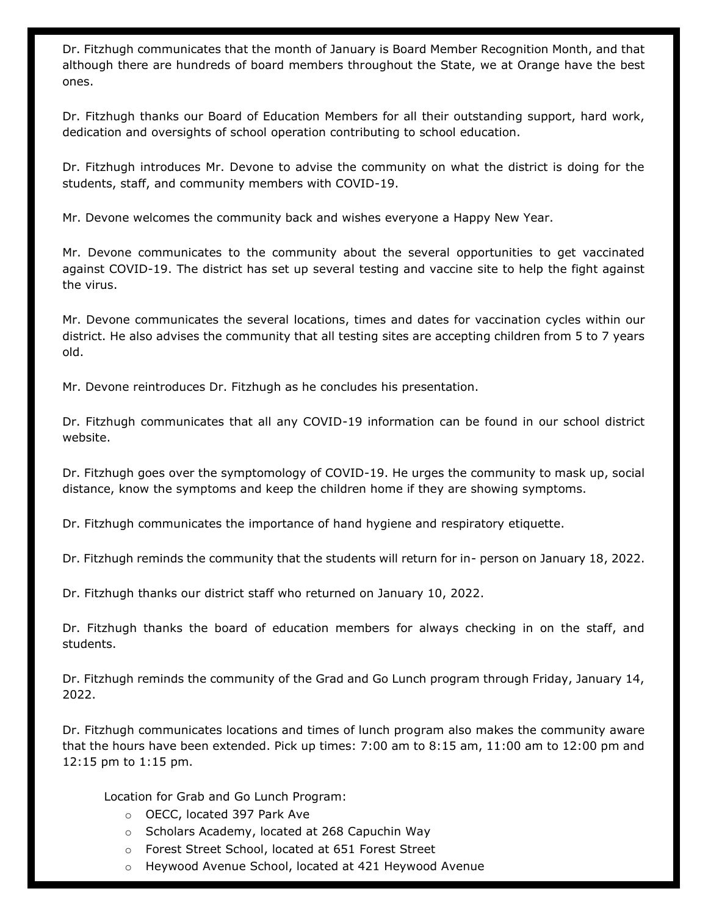Dr. Fitzhugh communicates that the month of January is Board Member Recognition Month, and that although there are hundreds of board members throughout the State, we at Orange have the best ones.

Dr. Fitzhugh thanks our Board of Education Members for all their outstanding support, hard work, dedication and oversights of school operation contributing to school education.

Dr. Fitzhugh introduces Mr. Devone to advise the community on what the district is doing for the students, staff, and community members with COVID-19.

Mr. Devone welcomes the community back and wishes everyone a Happy New Year.

Mr. Devone communicates to the community about the several opportunities to get vaccinated against COVID-19. The district has set up several testing and vaccine site to help the fight against the virus.

Mr. Devone communicates the several locations, times and dates for vaccination cycles within our district. He also advises the community that all testing sites are accepting children from 5 to 7 years old.

Mr. Devone reintroduces Dr. Fitzhugh as he concludes his presentation.

Dr. Fitzhugh communicates that all any COVID-19 information can be found in our school district website.

Dr. Fitzhugh goes over the symptomology of COVID-19. He urges the community to mask up, social distance, know the symptoms and keep the children home if they are showing symptoms.

Dr. Fitzhugh communicates the importance of hand hygiene and respiratory etiquette.

Dr. Fitzhugh reminds the community that the students will return for in- person on January 18, 2022.

Dr. Fitzhugh thanks our district staff who returned on January 10, 2022.

Dr. Fitzhugh thanks the board of education members for always checking in on the staff, and students.

Dr. Fitzhugh reminds the community of the Grad and Go Lunch program through Friday, January 14, 2022.

Dr. Fitzhugh communicates locations and times of lunch program also makes the community aware that the hours have been extended. Pick up times: 7:00 am to 8:15 am, 11:00 am to 12:00 pm and 12:15 pm to 1:15 pm.

Location for Grab and Go Lunch Program:

- o OECC, located 397 Park Ave
- o Scholars Academy, located at 268 Capuchin Way
- o Forest Street School, located at 651 Forest Street
- o Heywood Avenue School, located at 421 Heywood Avenue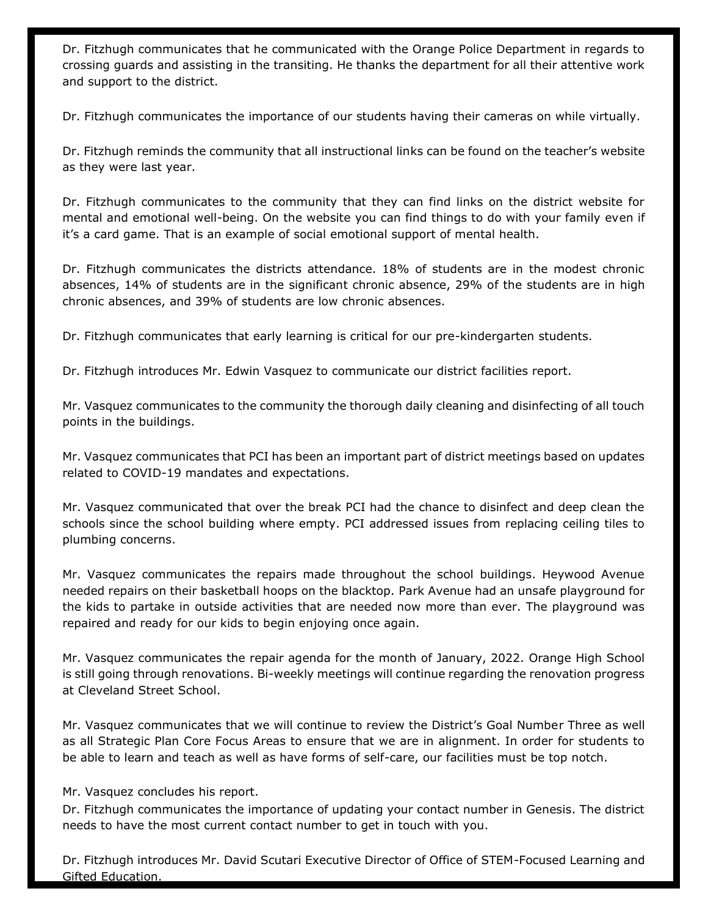Dr. Fitzhugh communicates that he communicated with the Orange Police Department in regards to crossing guards and assisting in the transiting. He thanks the department for all their attentive work and support to the district.

Dr. Fitzhugh communicates the importance of our students having their cameras on while virtually.

Dr. Fitzhugh reminds the community that all instructional links can be found on the teacher's website as they were last year.

Dr. Fitzhugh communicates to the community that they can find links on the district website for mental and emotional well-being. On the website you can find things to do with your family even if it's a card game. That is an example of social emotional support of mental health.

Dr. Fitzhugh communicates the districts attendance. 18% of students are in the modest chronic absences, 14% of students are in the significant chronic absence, 29% of the students are in high chronic absences, and 39% of students are low chronic absences.

Dr. Fitzhugh communicates that early learning is critical for our pre-kindergarten students.

Dr. Fitzhugh introduces Mr. Edwin Vasquez to communicate our district facilities report.

Mr. Vasquez communicates to the community the thorough daily cleaning and disinfecting of all touch points in the buildings.

Mr. Vasquez communicates that PCI has been an important part of district meetings based on updates related to COVID-19 mandates and expectations.

Mr. Vasquez communicated that over the break PCI had the chance to disinfect and deep clean the schools since the school building where empty. PCI addressed issues from replacing ceiling tiles to plumbing concerns.

Mr. Vasquez communicates the repairs made throughout the school buildings. Heywood Avenue needed repairs on their basketball hoops on the blacktop. Park Avenue had an unsafe playground for the kids to partake in outside activities that are needed now more than ever. The playground was repaired and ready for our kids to begin enjoying once again.

Mr. Vasquez communicates the repair agenda for the month of January, 2022. Orange High School is still going through renovations. Bi-weekly meetings will continue regarding the renovation progress at Cleveland Street School.

Mr. Vasquez communicates that we will continue to review the District's Goal Number Three as well as all Strategic Plan Core Focus Areas to ensure that we are in alignment. In order for students to be able to learn and teach as well as have forms of self-care, our facilities must be top notch.

Mr. Vasquez concludes his report.

Dr. Fitzhugh communicates the importance of updating your contact number in Genesis. The district needs to have the most current contact number to get in touch with you.

Dr. Fitzhugh introduces Mr. David Scutari Executive Director of Office of STEM-Focused Learning and Gifted Education.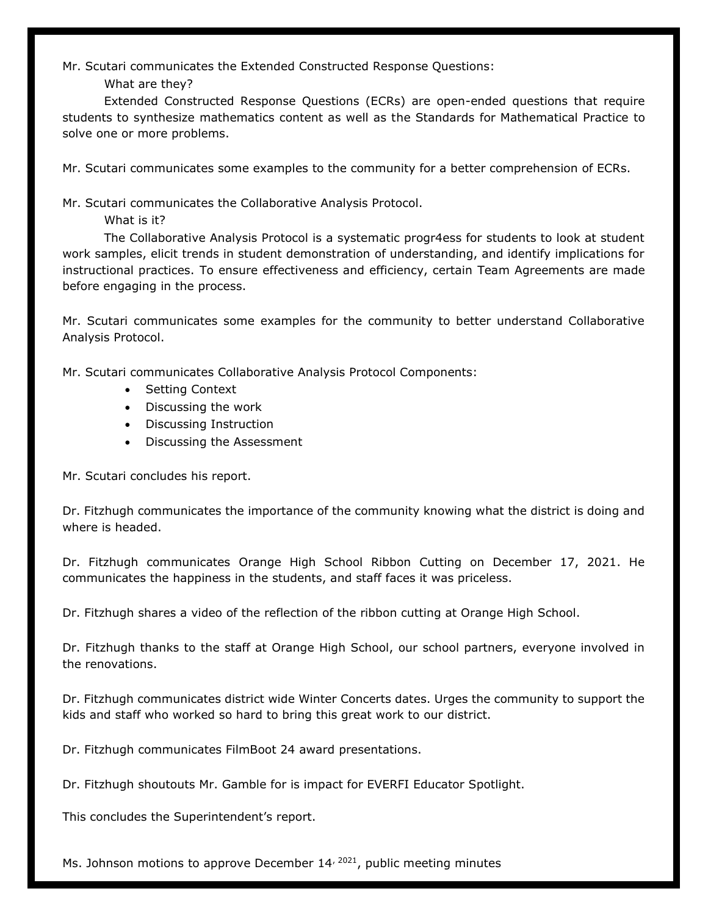Mr. Scutari communicates the Extended Constructed Response Questions:

What are they?

Extended Constructed Response Questions (ECRs) are open-ended questions that require students to synthesize mathematics content as well as the Standards for Mathematical Practice to solve one or more problems.

Mr. Scutari communicates some examples to the community for a better comprehension of ECRs.

Mr. Scutari communicates the Collaborative Analysis Protocol.

What is it?

The Collaborative Analysis Protocol is a systematic progr4ess for students to look at student work samples, elicit trends in student demonstration of understanding, and identify implications for instructional practices. To ensure effectiveness and efficiency, certain Team Agreements are made before engaging in the process.

Mr. Scutari communicates some examples for the community to better understand Collaborative Analysis Protocol.

Mr. Scutari communicates Collaborative Analysis Protocol Components:

- Setting Context
- Discussing the work
- Discussing Instruction
- Discussing the Assessment

Mr. Scutari concludes his report.

Dr. Fitzhugh communicates the importance of the community knowing what the district is doing and where is headed.

Dr. Fitzhugh communicates Orange High School Ribbon Cutting on December 17, 2021. He communicates the happiness in the students, and staff faces it was priceless.

Dr. Fitzhugh shares a video of the reflection of the ribbon cutting at Orange High School.

Dr. Fitzhugh thanks to the staff at Orange High School, our school partners, everyone involved in the renovations.

Dr. Fitzhugh communicates district wide Winter Concerts dates. Urges the community to support the kids and staff who worked so hard to bring this great work to our district.

Dr. Fitzhugh communicates FilmBoot 24 award presentations.

Dr. Fitzhugh shoutouts Mr. Gamble for is impact for EVERFI Educator Spotlight.

This concludes the Superintendent's report.

Ms. Johnson motions to approve December  $14^{2021}$ , public meeting minutes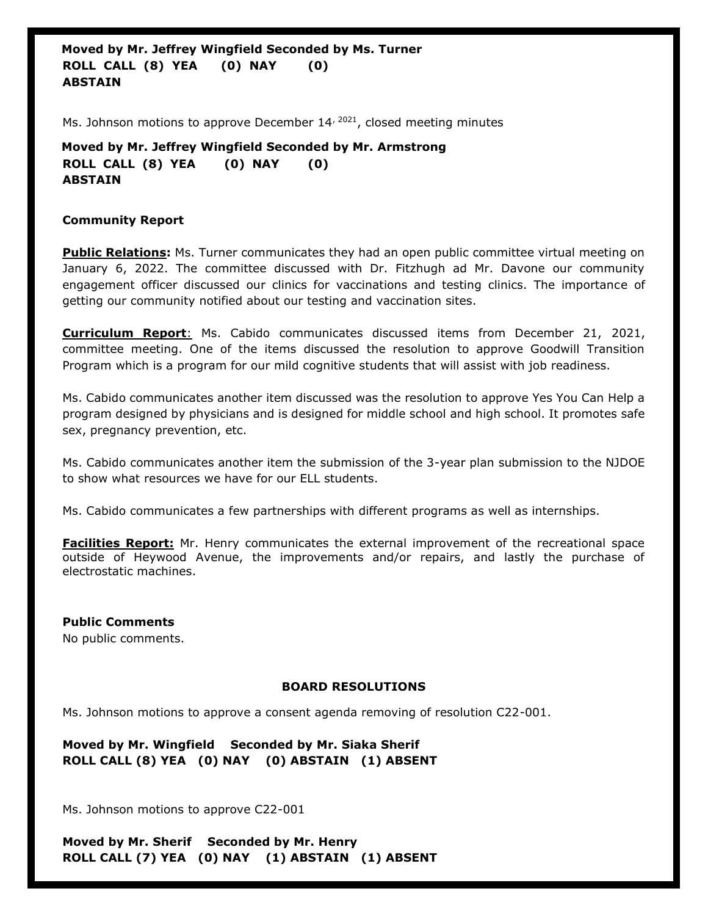**Moved by Mr. Jeffrey Wingfield Seconded by Ms. Turner ROLL CALL (8) YEA (0) NAY (0) ABSTAIN** 

Ms. Johnson motions to approve December  $14^{72021}$ , closed meeting minutes

**Moved by Mr. Jeffrey Wingfield Seconded by Mr. Armstrong ROLL CALL (8) YEA (0) NAY (0) ABSTAIN** 

#### **Community Report**

**Public Relations:** Ms. Turner communicates they had an open public committee virtual meeting on January 6, 2022. The committee discussed with Dr. Fitzhugh ad Mr. Davone our community engagement officer discussed our clinics for vaccinations and testing clinics. The importance of getting our community notified about our testing and vaccination sites.

**Curriculum Report**: Ms. Cabido communicates discussed items from December 21, 2021, committee meeting. One of the items discussed the resolution to approve Goodwill Transition Program which is a program for our mild cognitive students that will assist with job readiness.

Ms. Cabido communicates another item discussed was the resolution to approve Yes You Can Help a program designed by physicians and is designed for middle school and high school. It promotes safe sex, pregnancy prevention, etc.

Ms. Cabido communicates another item the submission of the 3-year plan submission to the NJDOE to show what resources we have for our ELL students.

Ms. Cabido communicates a few partnerships with different programs as well as internships.

**Facilities Report:** Mr. Henry communicates the external improvement of the recreational space outside of Heywood Avenue, the improvements and/or repairs, and lastly the purchase of electrostatic machines.

**Public Comments** No public comments.

#### **BOARD RESOLUTIONS**

Ms. Johnson motions to approve a consent agenda removing of resolution C22-001.

**Moved by Mr. Wingfield Seconded by Mr. Siaka Sherif ROLL CALL (8) YEA (0) NAY (0) ABSTAIN (1) ABSENT**

Ms. Johnson motions to approve C22-001

**Moved by Mr. Sherif Seconded by Mr. Henry ROLL CALL (7) YEA (0) NAY (1) ABSTAIN (1) ABSENT**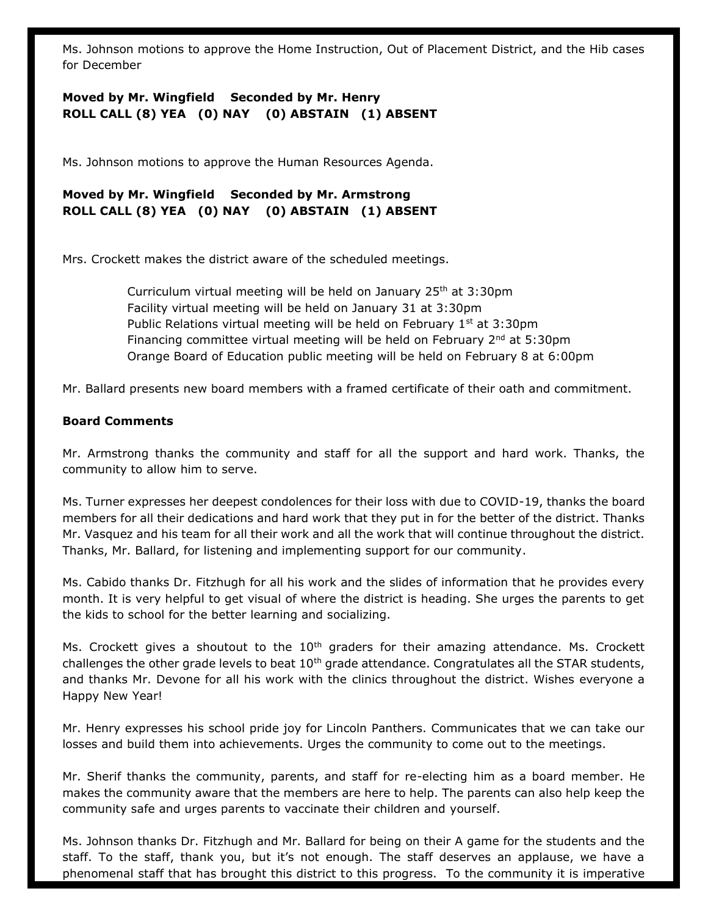Ms. Johnson motions to approve the Home Instruction, Out of Placement District, and the Hib cases for December

## **Moved by Mr. Wingfield Seconded by Mr. Henry ROLL CALL (8) YEA (0) NAY (0) ABSTAIN (1) ABSENT**

Ms. Johnson motions to approve the Human Resources Agenda.

**Moved by Mr. Wingfield Seconded by Mr. Armstrong ROLL CALL (8) YEA (0) NAY (0) ABSTAIN (1) ABSENT**

Mrs. Crockett makes the district aware of the scheduled meetings.

Curriculum virtual meeting will be held on January  $25<sup>th</sup>$  at  $3:30<sup>pm</sup>$ Facility virtual meeting will be held on January 31 at 3:30pm Public Relations virtual meeting will be held on February  $1<sup>st</sup>$  at 3:30pm Financing committee virtual meeting will be held on February  $2^{nd}$  at 5:30pm Orange Board of Education public meeting will be held on February 8 at 6:00pm

Mr. Ballard presents new board members with a framed certificate of their oath and commitment.

#### **Board Comments**

Mr. Armstrong thanks the community and staff for all the support and hard work. Thanks, the community to allow him to serve.

Ms. Turner expresses her deepest condolences for their loss with due to COVID-19, thanks the board members for all their dedications and hard work that they put in for the better of the district. Thanks Mr. Vasquez and his team for all their work and all the work that will continue throughout the district. Thanks, Mr. Ballard, for listening and implementing support for our community.

Ms. Cabido thanks Dr. Fitzhugh for all his work and the slides of information that he provides every month. It is very helpful to get visual of where the district is heading. She urges the parents to get the kids to school for the better learning and socializing.

Ms. Crockett gives a shoutout to the  $10<sup>th</sup>$  graders for their amazing attendance. Ms. Crockett challenges the other grade levels to beat  $10<sup>th</sup>$  grade attendance. Congratulates all the STAR students, and thanks Mr. Devone for all his work with the clinics throughout the district. Wishes everyone a Happy New Year!

Mr. Henry expresses his school pride joy for Lincoln Panthers. Communicates that we can take our losses and build them into achievements. Urges the community to come out to the meetings.

Mr. Sherif thanks the community, parents, and staff for re-electing him as a board member. He makes the community aware that the members are here to help. The parents can also help keep the community safe and urges parents to vaccinate their children and yourself.

Ms. Johnson thanks Dr. Fitzhugh and Mr. Ballard for being on their A game for the students and the staff. To the staff, thank you, but it's not enough. The staff deserves an applause, we have a phenomenal staff that has brought this district to this progress. To the community it is imperative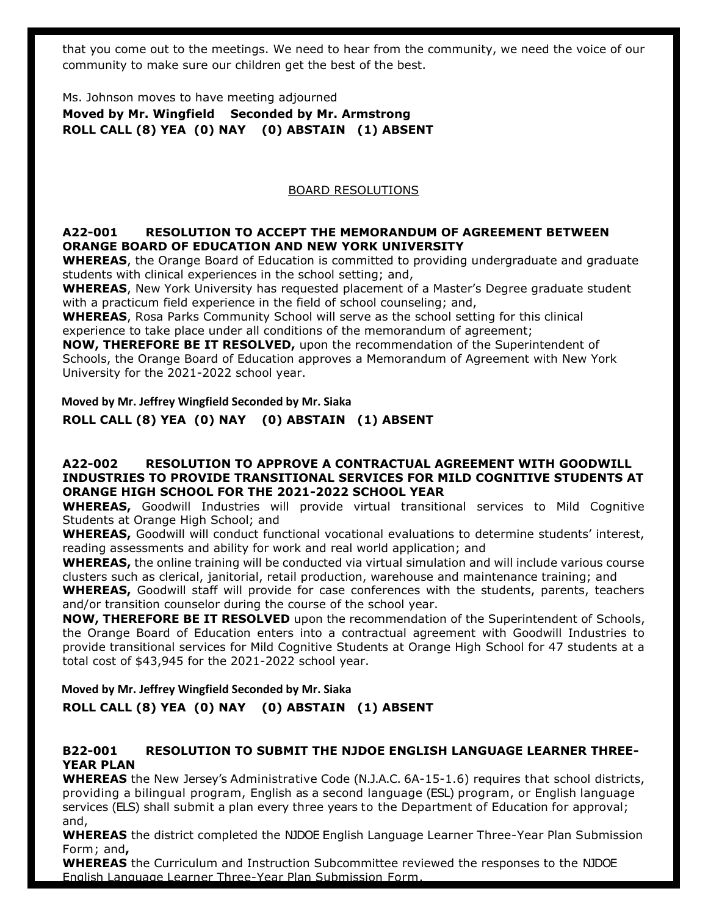that you come out to the meetings. We need to hear from the community, we need the voice of our community to make sure our children get the best of the best.

Ms. Johnson moves to have meeting adjourned **Moved by Mr. Wingfield Seconded by Mr. Armstrong ROLL CALL (8) YEA (0) NAY (0) ABSTAIN (1) ABSENT**

#### BOARD RESOLUTIONS

#### **A22-001 RESOLUTION TO ACCEPT THE MEMORANDUM OF AGREEMENT BETWEEN ORANGE BOARD OF EDUCATION AND NEW YORK UNIVERSITY**

**WHEREAS**, the Orange Board of Education is committed to providing undergraduate and graduate students with clinical experiences in the school setting; and,

**WHEREAS**, New York University has requested placement of a Master's Degree graduate student with a practicum field experience in the field of school counseling; and,

**WHEREAS**, Rosa Parks Community School will serve as the school setting for this clinical experience to take place under all conditions of the memorandum of agreement;

**NOW, THEREFORE BE IT RESOLVED,** upon the recommendation of the Superintendent of Schools, the Orange Board of Education approves a Memorandum of Agreement with New York University for the 2021-2022 school year.

**Moved by Mr. Jeffrey Wingfield Seconded by Mr. Siaka**

**ROLL CALL (8) YEA (0) NAY (0) ABSTAIN (1) ABSENT**

#### **A22-002 RESOLUTION TO APPROVE A CONTRACTUAL AGREEMENT WITH GOODWILL INDUSTRIES TO PROVIDE TRANSITIONAL SERVICES FOR MILD COGNITIVE STUDENTS AT ORANGE HIGH SCHOOL FOR THE 2021-2022 SCHOOL YEAR**

**WHEREAS,** Goodwill Industries will provide virtual transitional services to Mild Cognitive Students at Orange High School; and

**WHEREAS,** Goodwill will conduct functional vocational evaluations to determine students' interest, reading assessments and ability for work and real world application; and

**WHEREAS,** the online training will be conducted via virtual simulation and will include various course clusters such as clerical, janitorial, retail production, warehouse and maintenance training; and

**WHEREAS,** Goodwill staff will provide for case conferences with the students, parents, teachers and/or transition counselor during the course of the school year.

**NOW, THEREFORE BE IT RESOLVED** upon the recommendation of the Superintendent of Schools, the Orange Board of Education enters into a contractual agreement with Goodwill Industries to provide transitional services for Mild Cognitive Students at Orange High School for 47 students at a total cost of \$43,945 for the 2021-2022 school year.

**Moved by Mr. Jeffrey Wingfield Seconded by Mr. Siaka**

**ROLL CALL (8) YEA (0) NAY (0) ABSTAIN (1) ABSENT**

### **B22-001 RESOLUTION TO SUBMIT THE NJDOE ENGLISH LANGUAGE LEARNER THREE-YEAR PLAN**

**WHEREAS** the New Jersey's Administrative Code (N.J.A.C. 6A-15-1.6) requires that school districts, providing a bilingual program, English as a second language (ESL) program, or English language services (ELS) shall submit a plan every three years to the Department of Education for approval; and,

**WHEREAS** the district completed the NJDOE English Language Learner Three-Year Plan Submission Form; and**,** 

**WHEREAS** the Curriculum and Instruction Subcommittee reviewed the responses to the NJDOE English Language Learner Three-Year Plan Submission Form.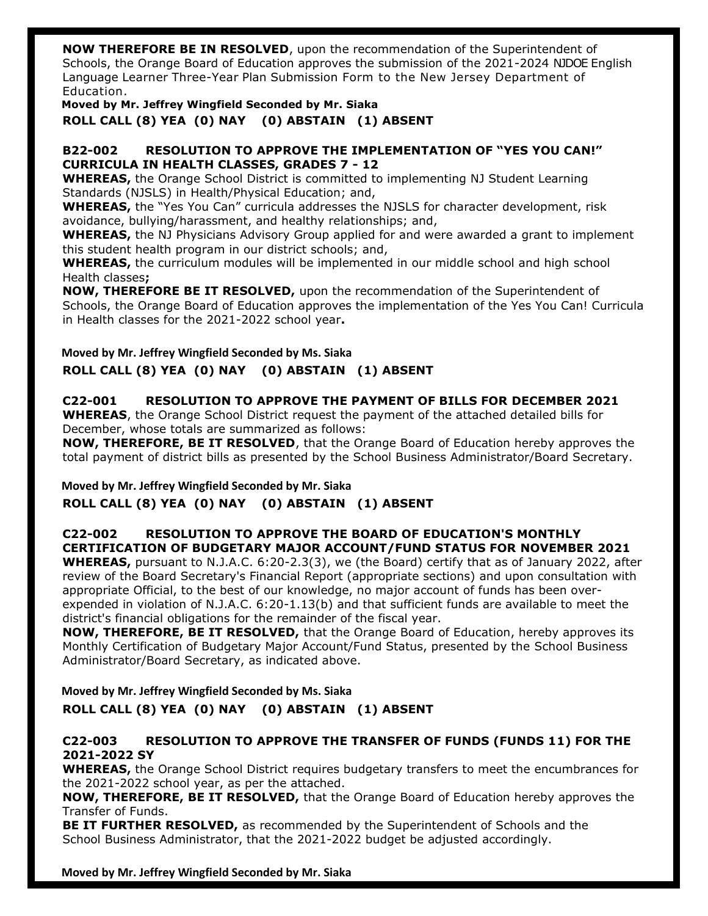**NOW THEREFORE BE IN RESOLVED**, upon the recommendation of the Superintendent of Schools, the Orange Board of Education approves the submission of the 2021-2024 NJDOE English Language Learner Three-Year Plan Submission Form to the New Jersey Department of Education.

**Moved by Mr. Jeffrey Wingfield Seconded by Mr. Siaka ROLL CALL (8) YEA (0) NAY (0) ABSTAIN (1) ABSENT**

#### **B22-002 RESOLUTION TO APPROVE THE IMPLEMENTATION OF "YES YOU CAN!" CURRICULA IN HEALTH CLASSES, GRADES 7 - 12**

**WHEREAS,** the Orange School District is committed to implementing NJ Student Learning Standards (NJSLS) in Health/Physical Education; and,

**WHEREAS,** the "Yes You Can" curricula addresses the NJSLS for character development, risk avoidance, bullying/harassment, and healthy relationships; and,

**WHEREAS,** the NJ Physicians Advisory Group applied for and were awarded a grant to implement this student health program in our district schools; and,

**WHEREAS,** the curriculum modules will be implemented in our middle school and high school Health classes**;**

**NOW, THEREFORE BE IT RESOLVED,** upon the recommendation of the Superintendent of Schools, the Orange Board of Education approves the implementation of the Yes You Can! Curricula in Health classes for the 2021-2022 school year**.**

**Moved by Mr. Jeffrey Wingfield Seconded by Ms. Siaka ROLL CALL (8) YEA (0) NAY (0) ABSTAIN (1) ABSENT**

# **C22-001 RESOLUTION TO APPROVE THE PAYMENT OF BILLS FOR DECEMBER 2021**

**WHEREAS**, the Orange School District request the payment of the attached detailed bills for December, whose totals are summarized as follows:

**NOW, THEREFORE, BE IT RESOLVED**, that the Orange Board of Education hereby approves the total payment of district bills as presented by the School Business Administrator/Board Secretary.

**Moved by Mr. Jeffrey Wingfield Seconded by Mr. Siaka ROLL CALL (8) YEA (0) NAY (0) ABSTAIN (1) ABSENT**

## **C22-002 RESOLUTION TO APPROVE THE BOARD OF EDUCATION'S MONTHLY CERTIFICATION OF BUDGETARY MAJOR ACCOUNT/FUND STATUS FOR NOVEMBER 2021**

**WHEREAS,** pursuant to N.J.A.C. 6:20-2.3(3), we (the Board) certify that as of January 2022, after review of the Board Secretary's Financial Report (appropriate sections) and upon consultation with appropriate Official, to the best of our knowledge, no major account of funds has been overexpended in violation of N.J.A.C. 6:20-1.13(b) and that sufficient funds are available to meet the district's financial obligations for the remainder of the fiscal year.

**NOW, THEREFORE, BE IT RESOLVED,** that the Orange Board of Education, hereby approves its Monthly Certification of Budgetary Major Account/Fund Status, presented by the School Business Administrator/Board Secretary, as indicated above.

**Moved by Mr. Jeffrey Wingfield Seconded by Ms. Siaka ROLL CALL (8) YEA (0) NAY (0) ABSTAIN (1) ABSENT**

## **C22-003 RESOLUTION TO APPROVE THE TRANSFER OF FUNDS (FUNDS 11) FOR THE 2021-2022 SY**

**WHEREAS,** the Orange School District requires budgetary transfers to meet the encumbrances for the 2021-2022 school year, as per the attached.

**NOW, THEREFORE, BE IT RESOLVED,** that the Orange Board of Education hereby approves the Transfer of Funds.

**BE IT FURTHER RESOLVED,** as recommended by the Superintendent of Schools and the School Business Administrator, that the 2021-2022 budget be adjusted accordingly.

#### **Moved by Mr. Jeffrey Wingfield Seconded by Mr. Siaka**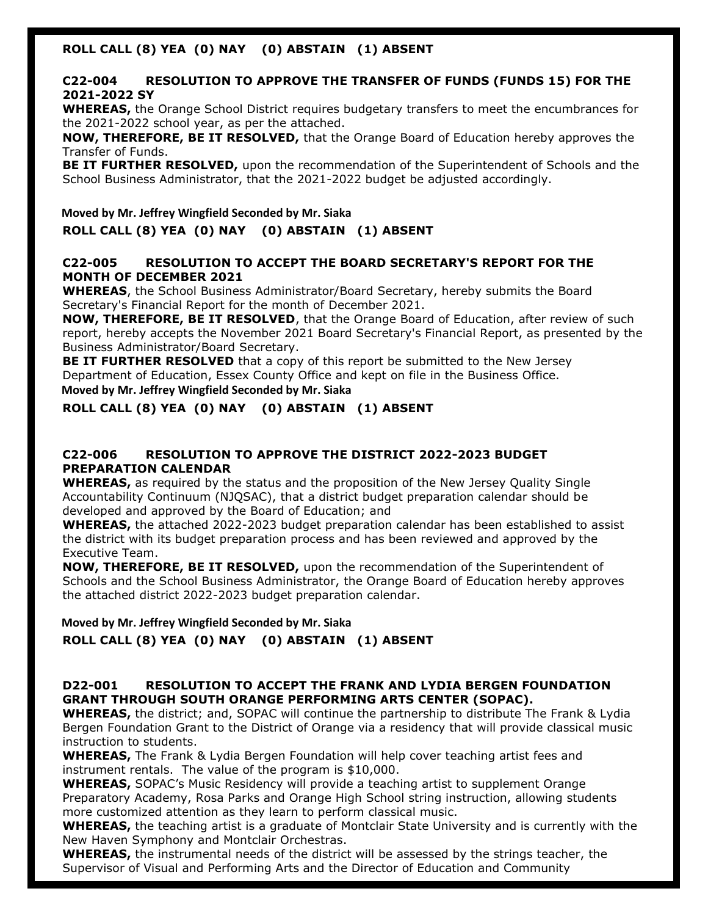## **ROLL CALL (8) YEA (0) NAY (0) ABSTAIN (1) ABSENT**

### **C22-004 RESOLUTION TO APPROVE THE TRANSFER OF FUNDS (FUNDS 15) FOR THE 2021-2022 SY**

**WHEREAS,** the Orange School District requires budgetary transfers to meet the encumbrances for the 2021-2022 school year, as per the attached.

**NOW, THEREFORE, BE IT RESOLVED,** that the Orange Board of Education hereby approves the Transfer of Funds.

**BE IT FURTHER RESOLVED,** upon the recommendation of the Superintendent of Schools and the School Business Administrator, that the 2021-2022 budget be adjusted accordingly.

**Moved by Mr. Jeffrey Wingfield Seconded by Mr. Siaka ROLL CALL (8) YEA (0) NAY (0) ABSTAIN (1) ABSENT**

#### **C22-005 RESOLUTION TO ACCEPT THE BOARD SECRETARY'S REPORT FOR THE MONTH OF DECEMBER 2021**

**WHEREAS**, the School Business Administrator/Board Secretary, hereby submits the Board Secretary's Financial Report for the month of December 2021.

**NOW, THEREFORE, BE IT RESOLVED**, that the Orange Board of Education, after review of such report, hereby accepts the November 2021 Board Secretary's Financial Report, as presented by the Business Administrator/Board Secretary.

**BE IT FURTHER RESOLVED** that a copy of this report be submitted to the New Jersey Department of Education, Essex County Office and kept on file in the Business Office. **Moved by Mr. Jeffrey Wingfield Seconded by Mr. Siaka** 

## **ROLL CALL (8) YEA (0) NAY (0) ABSTAIN (1) ABSENT**

### **C22-006 RESOLUTION TO APPROVE THE DISTRICT 2022-2023 BUDGET PREPARATION CALENDAR**

**WHEREAS,** as required by the status and the proposition of the New Jersey Quality Single Accountability Continuum (NJQSAC), that a district budget preparation calendar should be developed and approved by the Board of Education; and

**WHEREAS,** the attached 2022-2023 budget preparation calendar has been established to assist the district with its budget preparation process and has been reviewed and approved by the Executive Team.

**NOW, THEREFORE, BE IT RESOLVED,** upon the recommendation of the Superintendent of Schools and the School Business Administrator, the Orange Board of Education hereby approves the attached district 2022-2023 budget preparation calendar.

**Moved by Mr. Jeffrey Wingfield Seconded by Mr. Siaka** 

#### **ROLL CALL (8) YEA (0) NAY (0) ABSTAIN (1) ABSENT**

#### **D22-001 RESOLUTION TO ACCEPT THE FRANK AND LYDIA BERGEN FOUNDATION GRANT THROUGH SOUTH ORANGE PERFORMING ARTS CENTER (SOPAC).**

**WHEREAS,** the district; and, SOPAC will continue the partnership to distribute The Frank & Lydia Bergen Foundation Grant to the District of Orange via a residency that will provide classical music instruction to students.

**WHEREAS,** The Frank & Lydia Bergen Foundation will help cover teaching artist fees and instrument rentals. The value of the program is \$10,000.

**WHEREAS,** SOPAC's Music Residency will provide a teaching artist to supplement Orange Preparatory Academy, Rosa Parks and Orange High School string instruction, allowing students more customized attention as they learn to perform classical music.

**WHEREAS,** the teaching artist is a graduate of Montclair State University and is currently with the New Haven Symphony and Montclair Orchestras.

**WHEREAS,** the instrumental needs of the district will be assessed by the strings teacher, the Supervisor of Visual and Performing Arts and the Director of Education and Community